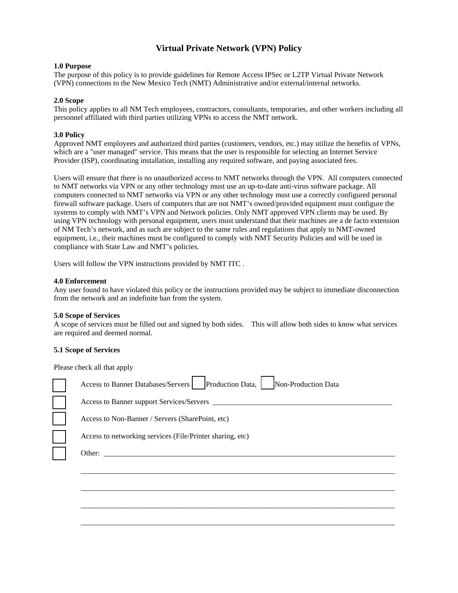# **Virtual Private Network (VPN) Policy**

# **1.0 Purpose**

The purpose of this policy is to provide guidelines for Remote Access IPSec or L2TP Virtual Private Network (VPN) connections to the New Mexico Tech (NMT) Administrative and/or external/internal networks.

# **2.0 Scope**

This policy applies to all NM Tech employees, contractors, consultants, temporaries, and other workers including all personnel affiliated with third parties utilizing VPNs to access the NMT network.

# **3.0 Policy**

Approved NMT employees and authorized third parties (customers, vendors, etc.) may utilize the benefits of VPNs, which are a "user managed" service. This means that the user is responsible for selecting an Internet Service Provider (ISP), coordinating installation, installing any required software, and paying associated fees.

Users will ensure that there is no unauthorized access to NMT networks through the VPN. All computers connected to NMT networks via VPN or any other technology must use an up-to-date anti-virus software package. All computers connected to NMT networks via VPN or any other technology must use a correctly configured personal firewall software package. Users of computers that are not NMT's owned/provided equipment must configure the systems to comply with NMT's VPN and Network policies. Only NMT approved VPN clients may be used. By using VPN technology with personal equipment, users must understand that their machines are a de facto extension of NM Tech's network, and as such are subject to the same rules and regulations that apply to NMT-owned equipment, i.e., their machines must be configured to comply with NMT Security Policies and will be used in compliance with State Law and NMT's policies.

Users will follow the VPN instructions provided by NMT ITC .

### **4.0 Enforcement**

Any user found to have violated this policy or the instructions provided may be subject to immediate disconnection from the network and an indefinite ban from the system.

### **5.0 Scope of Services**

A scope of services must be filled out and signed by both sides. This will allow both sides to know what services are required and deemed normal.

### **5.1 Scope of Services**

Please check all that apply

| Non-Production Data<br>Production Data,<br>Access to Banner Databases/Servers |
|-------------------------------------------------------------------------------|
|                                                                               |
| Access to Non-Banner / Servers (SharePoint, etc)                              |
| Access to networking services (File/Printer sharing, etc)                     |
| Other:                                                                        |
|                                                                               |
|                                                                               |
|                                                                               |
|                                                                               |